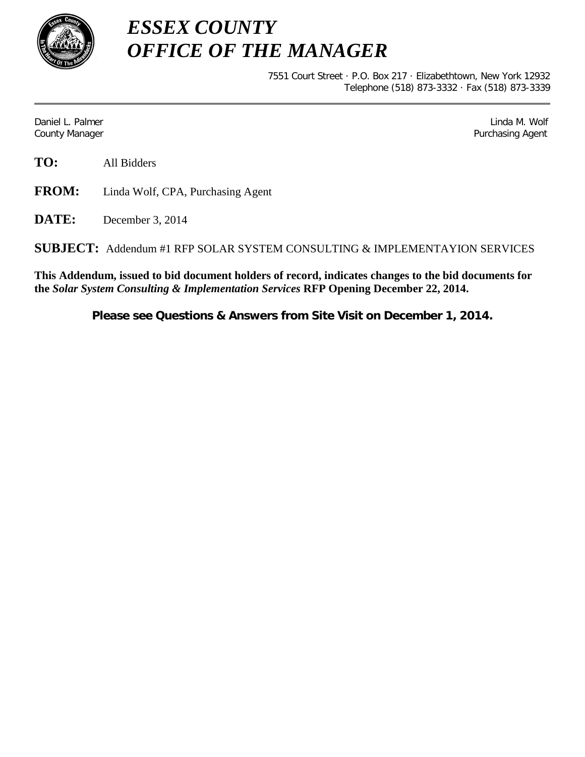

*ESSEX COUNTY OFFICE OF THE MANAGER*

> 7551 Court Street · P.O. Box 217 · Elizabethtown, New York 12932 Telephone (518) 873-3332 · Fax (518) 873-3339

Daniel L. Palmer Later and the control of the control of the control of the control of the control of the control of the control of the control of the control of the control of the control of the control of the control of County Manager **Purchasing Agent** County Manager **Purchasing Agent** County Manager

**TO:** All Bidders

**FROM:** Linda Wolf, CPA, Purchasing Agent

**DATE:** December 3, 2014

**SUBJECT:** Addendum #1 RFP SOLAR SYSTEM CONSULTING & IMPLEMENTAYION SERVICES

**This Addendum, issued to bid document holders of record, indicates changes to the bid documents for the** *Solar System Consulting & Implementation Services* **RFP Opening December 22, 2014.**

**Please see Questions & Answers from Site Visit on December 1, 2014.**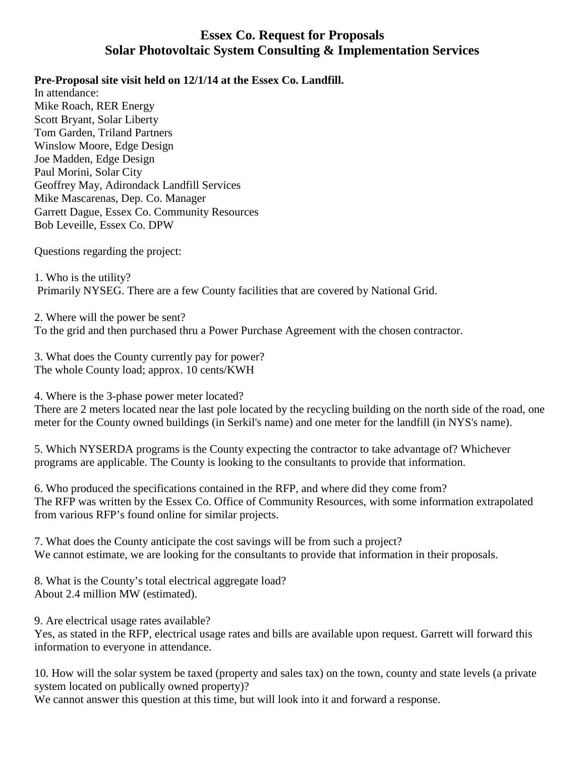## **Essex Co. Request for Proposals Solar Photovoltaic System Consulting & Implementation Services**

## **Pre-Proposal site visit held on 12/1/14 at the Essex Co. Landfill.**

In attendance: Mike Roach, RER Energy Scott Bryant, Solar Liberty Tom Garden, Triland Partners Winslow Moore, Edge Design Joe Madden, Edge Design Paul Morini, Solar City Geoffrey May, Adirondack Landfill Services Mike Mascarenas, Dep. Co. Manager Garrett Dague, Essex Co. Community Resources Bob Leveille, Essex Co. DPW

Questions regarding the project:

1. Who is the utility? Primarily NYSEG. There are a few County facilities that are covered by National Grid.

2. Where will the power be sent? To the grid and then purchased thru a Power Purchase Agreement with the chosen contractor.

3. What does the County currently pay for power? The whole County load; approx. 10 cents/KWH

4. Where is the 3-phase power meter located?

There are 2 meters located near the last pole located by the recycling building on the north side of the road, one meter for the County owned buildings (in Serkil's name) and one meter for the landfill (in NYS's name).

5. Which NYSERDA programs is the County expecting the contractor to take advantage of? Whichever programs are applicable. The County is looking to the consultants to provide that information.

6. Who produced the specifications contained in the RFP, and where did they come from? The RFP was written by the Essex Co. Office of Community Resources, with some information extrapolated from various RFP's found online for similar projects.

7. What does the County anticipate the cost savings will be from such a project? We cannot estimate, we are looking for the consultants to provide that information in their proposals.

8. What is the County's total electrical aggregate load? About 2.4 million MW (estimated).

9. Are electrical usage rates available?

Yes, as stated in the RFP, electrical usage rates and bills are available upon request. Garrett will forward this information to everyone in attendance.

10. How will the solar system be taxed (property and sales tax) on the town, county and state levels (a private system located on publically owned property)?

We cannot answer this question at this time, but will look into it and forward a response.